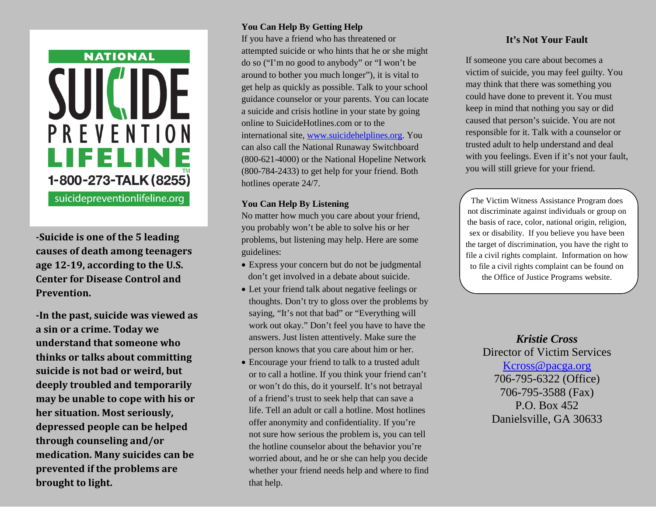# **NATIONAL** SUI PREVENTION **LIFELINE** 1-800-273-TALK (8255) suicidepreventionlifeline.org

**-Suicide is one of the 5 leading causes of death among teenagers age 12-19, according to the U.S. Center for Disease Control and Prevention.**

**-In the past, suicide was viewed as a sin or a crime. Today we understand that someone who thinks or talks about committing suicide is not bad or weird, but deeply troubled and temporarily may be unable to cope with his or her situation. Most seriously, depressed people can be helped through counseling and/or medication. Many suicides can be prevented if the problems are brought to light.**

### **You Can Help By Getting Help**

If you have a friend who has threatened or attempted suicide or who hints that he or she might do so ("I'm no good to anybody" or "I won't be around to bother you much longer"), it is vital to get help as quickly as possible. Talk to your school guidance counselor or your parents. You can locate a suicide and crisis hotline in your state by going online to SuicideHotlines.com or to the international site, [www.suicidehelplines.org.](http://www.suicidehelplines.org/) You can also call the National Runaway Switchboard (800-621-4000) or the National Hopeline Network (800-784-2433) to get help for your friend. Both hotlines operate 24/7.

#### **You Can Help By Listening**

No matter how much you care about your friend, you probably won't be able to solve his or her problems, but listening may help. Here are some guidelines:

- Express your concern but do not be judgmental don't get involved in a debate about suicide.
- Let your friend talk about negative feelings or thoughts. Don't try to gloss over the problems by saying, "It's not that bad" or "Everything will work out okay." Don't feel you have to have the answers. Just listen attentively. Make sure the person knows that you care about him or her.
- Encourage your friend to talk to a trusted adult or to call a hotline. If you think your friend can't or won't do this, do it yourself. It's not betrayal of a friend's trust to seek help that can save a life. Tell an adult or call a hotline. Most hotlines offer anonymity and confidentiality. If you're not sure how serious the problem is, you can tell the hotline counselor about the behavior you're worried about, and he or she can help you decide whether your friend needs help and where to find that help.

## **It's Not Your Fault**

If someone you care about becomes a victim of suicide, you may feel guilty. You may think that there was something you could have done to prevent it. You must keep in mind that nothing you say or did caused that person's suicide. You are not responsible for it. Talk with a counselor or trusted adult to help understand and deal with you feelings. Even if it's not your fault, you will still grieve for your friend.

The Victim Witness Assistance Program does not discriminate against individuals or group on the basis of race, color, national origin, religion, sex or disability. If you believe you have been the target of discrimination, you have the right to file a civil rights complaint. Information on how to file a civil rights complaint can be found on the Office of Justice Programs website.

> *Kristie Cross* Director of Victim Services [Kcross@pacga.org](mailto:Kcross@pacga.org) 706-795-6322 (Office) 706-795-3588 (Fax) P.O. Box 452 Danielsville, GA 30633